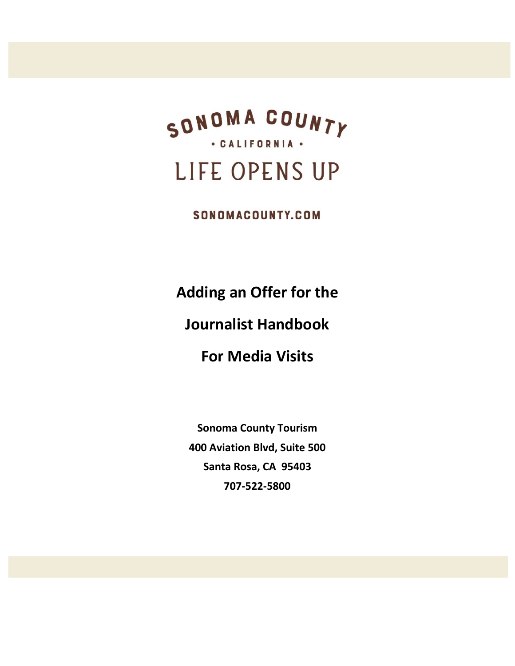

SONOMACOUNTY.COM

**Adding an Offer for the Journalist Handbook For Media Visits**

**Sonoma County Tourism 400 Aviation Blvd, Suite 500 Santa Rosa, CA 95403 707-522-5800**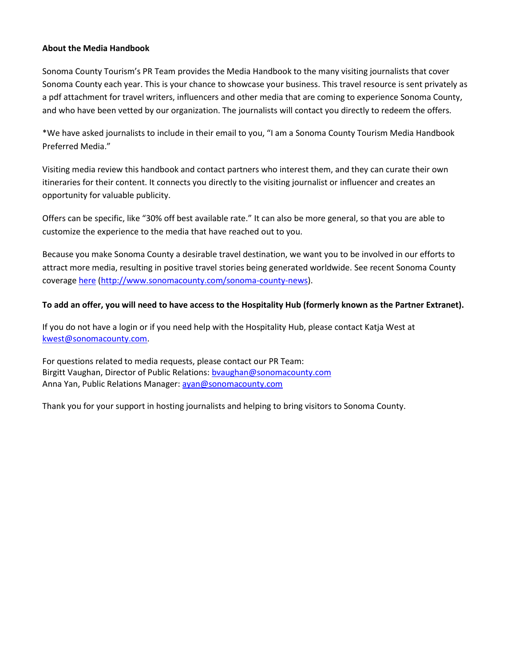## **About the Media Handbook**

Sonoma County Tourism's PR Team provides the Media Handbook to the many visiting journalists that cover Sonoma County each year. This is your chance to showcase your business. This travel resource is sent privately as a pdf attachment for travel writers, influencers and other media that are coming to experience Sonoma County, and who have been vetted by our organization. The journalists will contact you directly to redeem the offers.

\*We have asked journalists to include in their email to you, "I am a Sonoma County Tourism Media Handbook Preferred Media."

Visiting media review this handbook and contact partners who interest them, and they can curate their own itineraries for their content. It connects you directly to the visiting journalist or influencer and creates an opportunity for valuable publicity.

Offers can be specific, like "30% off best available rate." It can also be more general, so that you are able to customize the experience to the media that have reached out to you.

Because you make Sonoma County a desirable travel destination, we want you to be involved in our efforts to attract more media, resulting in positive travel stories being generated worldwide. See recent Sonoma County coverag[e here](http://www.sonomacounty.com/sonoma-county-news) [\(http://www.sonomacounty.com/sonoma-county-news\)](http://www.sonomacounty.com/sonoma-county-news).

# **To add an offer, you will need to have access to the Hospitality Hub (formerly known as the Partner Extranet).**

If you do not have a login or if you need help with the Hospitality Hub, please contact Katja West at [kwest@sonomacounty.com.](mailto:kwest@sonomacounty.com)

For questions related to media requests, please contact our PR Team: Birgitt Vaughan, Director of Public Relations[: bvaughan@sonomacounty.com](mailto:bvaughan@sonomacounty.com) Anna Yan, Public Relations Manager: [ayan@sonomacounty.com](mailto:ayan@sonomacounty.com)

Thank you for your support in hosting journalists and helping to bring visitors to Sonoma County.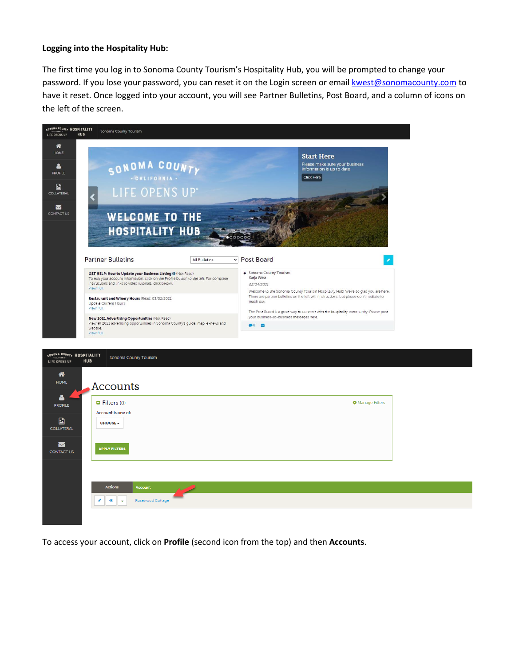#### **Logging into the Hospitality Hub:**

The first time you log in to Sonoma County Tourism's Hospitality Hub, you will be prompted to change your password. If you lose your password, you can reset it on the Login screen or email [kwest@sonomacounty.com](mailto:kwest@sonomacounty.com) to have it reset. Once logged into your account, you will see Partner Bulletins, Post Board, and a column of icons on the left of the screen.



| <b>Actions</b><br>Account<br>Rosewood Cottage |  |
|-----------------------------------------------|--|
|                                               |  |
|                                               |  |

To access your account, click on **Profile** (second icon from the top) and then **Accounts**.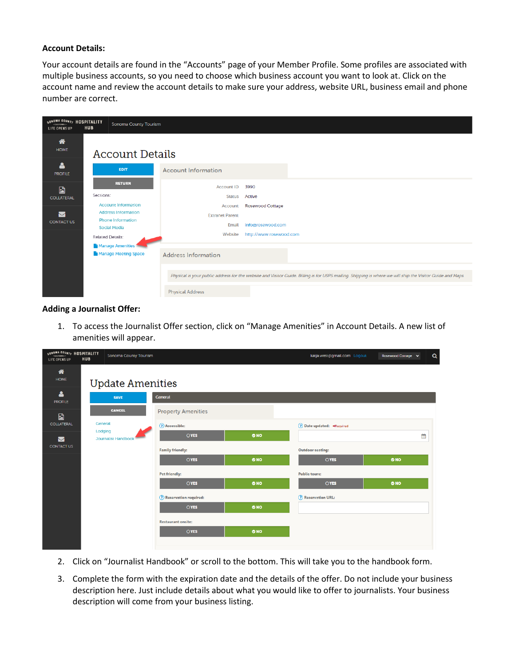#### **Account Details:**

Your account details are found in the "Accounts" page of your Member Profile. Some profiles are associated with multiple business accounts, so you need to choose which business account you want to look at. Click on the account name and review the account details to make sure your address, website URL, business email and phone number are correct.

| SONOMA COUNTY HOSPITALITY<br><b>HUB</b><br>LIFE OPENS UP |                  | Sonoma County Tourism                                  |                            |                         |                                                                                                                                                            |  |  |  |
|----------------------------------------------------------|------------------|--------------------------------------------------------|----------------------------|-------------------------|------------------------------------------------------------------------------------------------------------------------------------------------------------|--|--|--|
| ⋒<br><b>HOME</b>                                         |                  | <b>Account Details</b>                                 |                            |                         |                                                                                                                                                            |  |  |  |
| Δ<br><b>PROFILE</b>                                      |                  | <b>EDIT</b>                                            | <b>Account Information</b> |                         |                                                                                                                                                            |  |  |  |
| $\blacksquare$<br><b>COLLATERAL</b>                      |                  | <b>RETURN</b>                                          | <b>Account ID</b>          | 3990                    |                                                                                                                                                            |  |  |  |
|                                                          | Sections:        |                                                        | <b>Status</b>              | Active                  |                                                                                                                                                            |  |  |  |
|                                                          |                  | <b>Account Information</b>                             | Account                    | <b>Rosewood Cottage</b> |                                                                                                                                                            |  |  |  |
| $\triangleright$                                         |                  | <b>Address Information</b><br><b>Phone Information</b> | <b>Extranet Parent</b>     |                         |                                                                                                                                                            |  |  |  |
| <b>CONTACT US</b>                                        |                  | <b>Social Media</b>                                    | Email                      | info@rosewood.com       |                                                                                                                                                            |  |  |  |
|                                                          | Related Details: |                                                        | Website                    | http://www.rosewood.com |                                                                                                                                                            |  |  |  |
|                                                          |                  | Manage Amenities                                       |                            |                         |                                                                                                                                                            |  |  |  |
|                                                          |                  | Manage Meeting Space                                   | <b>Address Information</b> |                         |                                                                                                                                                            |  |  |  |
|                                                          |                  |                                                        |                            |                         |                                                                                                                                                            |  |  |  |
|                                                          |                  |                                                        |                            |                         | Physical is your public address for the website and Visitor Guide. Billing is for USPS mailing. Shipping is where we will ship the Visitor Guide and Maps. |  |  |  |
|                                                          |                  |                                                        | <b>Physical Address</b>    |                         |                                                                                                                                                            |  |  |  |

## **Adding a Journalist Offer:**

1. To access the Journalist Offer section, click on "Manage Amenities" in Account Details. A new list of amenities will appear.

| SONOMA COUNTY HOSPITALITY<br>LIFE OPENS UP | <b>HUB</b> | Sonoma County Tourism                 |                                  |     | katja.west@gmail.com Logout                            | Q<br>Rosewood Cottage v |
|--------------------------------------------|------------|---------------------------------------|----------------------------------|-----|--------------------------------------------------------|-------------------------|
| 俗<br><b>HOME</b>                           |            | <b>Update Amenities</b>               |                                  |     |                                                        |                         |
| Δ<br><b>PROFILE</b>                        |            | <b>SAVE</b>                           | General                          |     |                                                        |                         |
| $\blacksquare$                             |            | <b>CANCEL</b>                         | <b>Property Amenities</b>        |     |                                                        |                         |
| <b>COLLATERAL</b>                          | General    | Lodging<br><b>Journalist Handbook</b> | (?) Accessible:                  |     | ◯ Date updated: <required< td=""><td></td></required<> |                         |
| $\blacktriangleright$                      |            |                                       | OYES                             | ONO |                                                        | 曲                       |
| <b>CONTACT US</b>                          |            |                                       | <b>Family friendly:</b>          |     | <b>Outdoor seating:</b>                                |                         |
|                                            |            |                                       | OYES                             | ONO | OYES                                                   | ONO                     |
|                                            |            |                                       | <b>Pet friendly:</b>             |     | <b>Public tours:</b>                                   |                         |
|                                            |            |                                       | OYES                             | ONO | OYES                                                   | ONO                     |
|                                            |            |                                       | <b>(?)</b> Reservation required: |     | ? Reservation URL:                                     |                         |
|                                            |            |                                       | OYES                             | ONO |                                                        |                         |
|                                            |            |                                       | <b>Restaurant onsite:</b>        |     |                                                        |                         |
|                                            |            |                                       | <b>OYES</b>                      | ONO |                                                        |                         |
|                                            |            |                                       |                                  |     |                                                        |                         |

- 2. Click on "Journalist Handbook" or scroll to the bottom. This will take you to the handbook form.
- 3. Complete the form with the expiration date and the details of the offer. Do not include your business description here. Just include details about what you would like to offer to journalists. Your business description will come from your business listing.